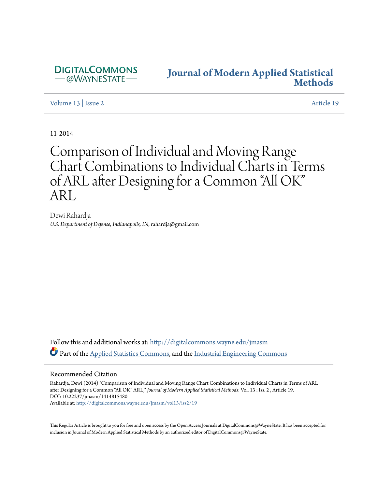

## **[Journal of Modern Applied Statistical](http://digitalcommons.wayne.edu/jmasm?utm_source=digitalcommons.wayne.edu%2Fjmasm%2Fvol13%2Fiss2%2F19&utm_medium=PDF&utm_campaign=PDFCoverPages) [Methods](http://digitalcommons.wayne.edu/jmasm?utm_source=digitalcommons.wayne.edu%2Fjmasm%2Fvol13%2Fiss2%2F19&utm_medium=PDF&utm_campaign=PDFCoverPages)**

[Volume 13](http://digitalcommons.wayne.edu/jmasm/vol13?utm_source=digitalcommons.wayne.edu%2Fjmasm%2Fvol13%2Fiss2%2F19&utm_medium=PDF&utm_campaign=PDFCoverPages) | [Issue 2](http://digitalcommons.wayne.edu/jmasm/vol13/iss2?utm_source=digitalcommons.wayne.edu%2Fjmasm%2Fvol13%2Fiss2%2F19&utm_medium=PDF&utm_campaign=PDFCoverPages) [Article 19](http://digitalcommons.wayne.edu/jmasm/vol13/iss2/19?utm_source=digitalcommons.wayne.edu%2Fjmasm%2Fvol13%2Fiss2%2F19&utm_medium=PDF&utm_campaign=PDFCoverPages)

11-2014

# Comparison of Individual and Moving Range Chart Combinations to Individual Charts in Terms of ARL after Designing for a Common "All OK" ARL

Dewi Rahardja *U.S. Department of Defense, Indianapolis, IN*, rahardja@gmail.com

Follow this and additional works at: [http://digitalcommons.wayne.edu/jmasm](http://digitalcommons.wayne.edu/jmasm?utm_source=digitalcommons.wayne.edu%2Fjmasm%2Fvol13%2Fiss2%2F19&utm_medium=PDF&utm_campaign=PDFCoverPages) Part of the [Applied Statistics Commons](http://network.bepress.com/hgg/discipline/209?utm_source=digitalcommons.wayne.edu%2Fjmasm%2Fvol13%2Fiss2%2F19&utm_medium=PDF&utm_campaign=PDFCoverPages), and the [Industrial Engineering Commons](http://network.bepress.com/hgg/discipline/307?utm_source=digitalcommons.wayne.edu%2Fjmasm%2Fvol13%2Fiss2%2F19&utm_medium=PDF&utm_campaign=PDFCoverPages)

#### Recommended Citation

Rahardja, Dewi (2014) "Comparison of Individual and Moving Range Chart Combinations to Individual Charts in Terms of ARL after Designing for a Common "All OK" ARL," *Journal of Modern Applied Statistical Methods*: Vol. 13 : Iss. 2 , Article 19. DOI: 10.22237/jmasm/1414815480 Available at: [http://digitalcommons.wayne.edu/jmasm/vol13/iss2/19](http://digitalcommons.wayne.edu/jmasm/vol13/iss2/19?utm_source=digitalcommons.wayne.edu%2Fjmasm%2Fvol13%2Fiss2%2F19&utm_medium=PDF&utm_campaign=PDFCoverPages)

This Regular Article is brought to you for free and open access by the Open Access Journals at DigitalCommons@WayneState. It has been accepted for inclusion in Journal of Modern Applied Statistical Methods by an authorized editor of DigitalCommons@WayneState.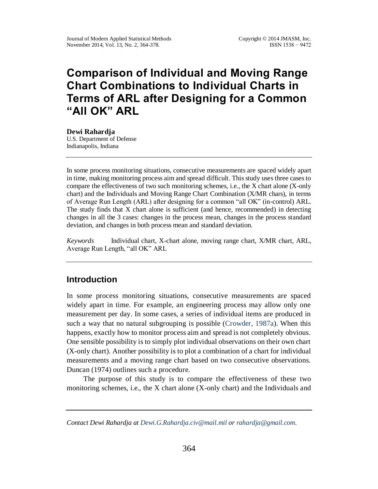## **Comparison of Individual and Moving Range Chart Combinations to Individual Charts in Terms of ARL after Designing for a Common "All OK" ARL**

**Dewi Rahardja** U.S. Department of Defense Indianapolis, Indiana

In some process monitoring situations, consecutive measurements are spaced widely apart in time, making monitoring process aim and spread difficult. This study uses three cases to compare the effectiveness of two such monitoring schemes, i.e., the X chart alone (X-only chart) and the Individuals and Moving Range Chart Combination (X/MR chars), in terms of Average Run Length (ARL) after designing for a common "all OK" (in-control) ARL. The study finds that X chart alone is sufficient (and hence, recommended) in detecting changes in all the 3 cases: changes in the process mean, changes in the process standard deviation, and changes in both process mean and standard deviation.

*Keywords* Individual chart, X-chart alone, moving range chart, X/MR chart, ARL, Average Run Length, "all OK" ARL

## **Introduction**

In some process monitoring situations, consecutive measurements are spaced widely apart in time. For example, an engineering process may allow only one measurement per day. In some cases, a series of individual items are produced in such a way that no natural subgrouping is possible [\(Crowder, 1987a\)](#page-14-0). When this happens, exactly how to monitor process aim and spread is not completely obvious. One sensible possibility is to simply plot individual observations on their own chart (X-only chart). Another possibility is to plot a combination of a chart for individual measurements and a moving range chart based on two consecutive observations. Duncan (1974) outlines such a procedure.

The purpose of this study is to compare the effectiveness of these two monitoring schemes, i.e., the X chart alone  $(X$ -only chart) and the Individuals and

*Contact Dewi Rahardja at [Dewi.G.Rahardja.civ@mail.mil](mailto:Dewi.G.Rahardja.civ@mail.mil) or [rahardja@gmail.com.](mailto:rahardja@gmail.com)*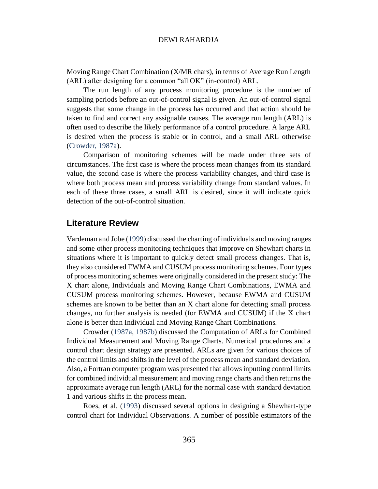Moving Range Chart Combination (X/MR chars), in terms of Average Run Length (ARL) after designing for a common "all OK" (in-control) ARL.

The run length of any process monitoring procedure is the number of sampling periods before an out-of-control signal is given. An out-of-control signal suggests that some change in the process has occurred and that action should be taken to find and correct any assignable causes. The average run length (ARL) is often used to describe the likely performance of a control procedure. A large ARL is desired when the process is stable or in control, and a small ARL otherwise [\(Crowder, 1987a\)](#page-14-0).

Comparison of monitoring schemes will be made under three sets of circumstances. The first case is where the process mean changes from its standard value, the second case is where the process variability changes, and third case is where both process mean and process variability change from standard values. In each of these three cases, a small ARL is desired, since it will indicate quick detection of the out-of-control situation.

### **Literature Review**

Vardeman and Jobe [\(1999\)](#page-15-0) discussed the charting of individuals and moving ranges and some other process monitoring techniques that improve on Shewhart charts in situations where it is important to quickly detect small process changes. That is, they also considered EWMA and CUSUM process monitoring schemes. Four types of process monitoring schemes were originally considered in the present study: The X chart alone, Individuals and Moving Range Chart Combinations, EWMA and CUSUM process monitoring schemes. However, because EWMA and CUSUM schemes are known to be better than an X chart alone for detecting small process changes, no further analysis is needed (for EWMA and CUSUM) if the X chart alone is better than Individual and Moving Range Chart Combinations.

Crowder [\(1987a,](#page-14-0) [1987b\)](#page-14-1) discussed the Computation of ARLs for Combined Individual Measurement and Moving Range Charts. Numerical procedures and a control chart design strategy are presented. ARLs are given for various choices of the control limits and shifts in the level of the process mean and standard deviation. Also, a Fortran computer program was presented that allows inputting control limits for combined individual measurement and moving range charts and then returns the approximate average run length (ARL) for the normal case with standard deviation 1 and various shifts in the process mean.

Roes, et al. [\(1993\)](#page-15-1) discussed several options in designing a Shewhart-type control chart for Individual Observations. A number of possible estimators of the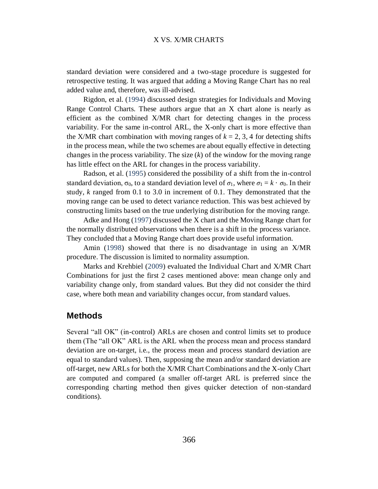standard deviation were considered and a two-stage procedure is suggested for retrospective testing. It was argued that adding a Moving Range Chart has no real added value and, therefore, was ill-advised.

Rigdon, et al. [\(1994\)](#page-15-2) discussed design strategies for Individuals and Moving Range Control Charts. These authors argue that an X chart alone is nearly as efficient as the combined X/MR chart for detecting changes in the process variability. For the same in-control ARL, the X-only chart is more effective than the X/MR chart combination with moving ranges of  $k = 2, 3, 4$  for detecting shifts in the process mean, while the two schemes are about equally effective in detecting changes in the process variability. The size (*k*) of the window for the moving range has little effect on the ARL for changes in the process variability.

Radson, et al. [\(1995\)](#page-14-2) considered the possibility of a shift from the in-control standard deviation,  $\sigma_0$ , to a standard deviation level of  $\sigma_1$ , where  $\sigma_1 = k \cdot \sigma_0$ . In their study, *k* ranged from 0.1 to 3.0 in increment of 0.1. They demonstrated that the moving range can be used to detect variance reduction. This was best achieved by constructing limits based on the true underlying distribution for the moving range.

Adke and Hong [\(1997\)](#page-14-0) discussed the X chart and the Moving Range chart for the normally distributed observations when there is a shift in the process variance. They concluded that a Moving Range chart does provide useful information.

Amin [\(1998\)](#page-14-3) showed that there is no disadvantage in using an X/MR procedure. The discussion is limited to normality assumption.

Marks and Krehbiel [\(2009\)](#page-14-4) evaluated the Individual Chart and X/MR Chart Combinations for just the first 2 cases mentioned above: mean change only and variability change only, from standard values. But they did not consider the third case, where both mean and variability changes occur, from standard values.

#### **Methods**

Several "all OK" (in-control) ARLs are chosen and control limits set to produce them (The "all OK" ARL is the ARL when the process mean and process standard deviation are on-target, i.e., the process mean and process standard deviation are equal to standard values). Then, supposing the mean and/or standard deviation are off-target, new ARLs for both the X/MR Chart Combinations and the X-only Chart are computed and compared (a smaller off-target ARL is preferred since the corresponding charting method then gives quicker detection of non-standard conditions).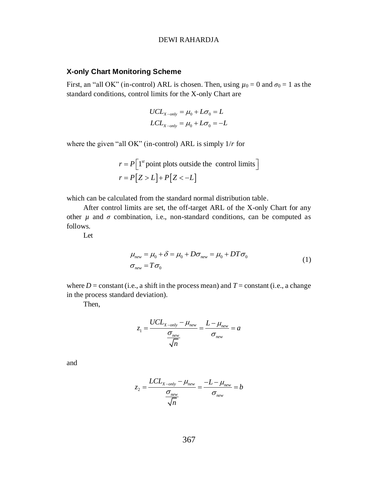#### **X-only Chart Monitoring Scheme**

First, an "all OK" (in-control) ARL is chosen. Then, using  $\mu_0 = 0$  and  $\sigma_0 = 1$  as the standard conditions, control limits for the X-only Chart are

$$
UCL_{X-only} = \mu_0 + L\sigma_0 = L
$$
  

$$
LCL_{X-only} = \mu_0 + L\sigma_0 = -L
$$

where the given "all OK" (in-control) ARL is simply 1/*r* for

$$
r = P\Big[1^{st} \text{point plots outside the control limits}\Big]
$$

$$
r = P\Big[Z > L\Big] + P\Big[Z < -L\Big]
$$

which can be calculated from the standard normal distribution table.

After control limits are set, the off-target ARL of the X-only Chart for any other  $\mu$  and  $\sigma$  combination, i.e., non-standard conditions, can be computed as follows.

<span id="page-4-0"></span>Let

$$
\mu_{new} = \mu_0 + \delta = \mu_0 + D\sigma_{new} = \mu_0 + DT\sigma_0
$$
  
\n
$$
\sigma_{new} = T\sigma_0
$$
\n(1)

where  $D =$  constant (i.e., a shift in the process mean) and  $T =$  constant (i.e., a change in the process standard deviation).

Then,

$$
z_1 = \frac{UCL_{X-only} - \mu_{new}}{\frac{\sigma_{new}}{\sqrt{n}}} = \frac{L - \mu_{new}}{\sigma_{new}} = a
$$

and

$$
z_2 = \frac{LCL_{X-only} - \mu_{new}}{\frac{\sigma_{new}}{\sqrt{n}}} = \frac{-L - \mu_{new}}{\sigma_{new}} = b
$$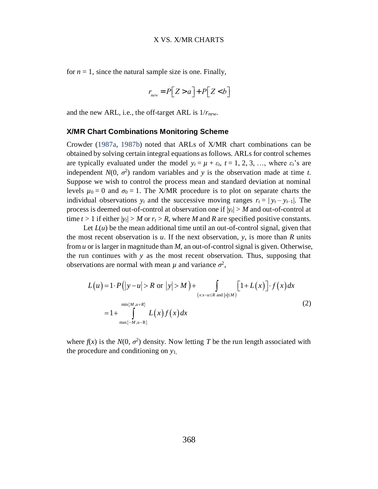for  $n = 1$ , since the natural sample size is one. Finally,

$$
r_{\text{new}} = P\big[Z > a\big] + P\big[Z < b\big]
$$

and the new ARL, i.e., the off-target ARL is 1/*rnew*.

#### **X/MR Chart Combinations Monitoring Scheme**

Crowder [\(1987a,](#page-14-0) [1987b\)](#page-14-1) noted that ARLs of X/MR chart combinations can be obtained by solving certain integral equations as follows. ARLs for control schemes are typically evaluated under the model  $y_t = \mu + \varepsilon_t$ ,  $t = 1, 2, 3, \dots$ , where  $\varepsilon_t$ 's are independent  $N(0, \sigma^2)$  random variables and *y* is the observation made at time *t*. Suppose we wish to control the process mean and standard deviation at nominal levels  $\mu_0 = 0$  and  $\sigma_0 = 1$ . The X/MR procedure is to plot on separate charts the individual observations  $y_t$  and the successive moving ranges  $r_t = |y_t - y_{t-1}|$ . The process is deemed out-of-control at observation one if  $|y_t| > M$  and out-of-control at time  $t > 1$  if either  $|y_t| > M$  or  $r_t > R$ , where M and R are specified positive constants.

Let  $L(u)$  be the mean additional time until an out-of-control signal, given that the most recent observation is *u*. If the next observation, *y*, is more than *R* units from *u* or is larger in magnitude than *M*, an out-of-control signal is given. Otherwise, the run continues with *y* as the most recent observation. Thus, supposing that

<span id="page-5-0"></span>observations are normal with mean 
$$
\mu
$$
 and variance  $\sigma^2$ ,  
\n
$$
L(u) = 1 \cdot P(|y - u| > R \text{ or } |y| > M) + \int_{(xx - u \le R \text{ and } |x| \le M)} [1 + L(x)] \cdot f(x) dx
$$
\n
$$
= 1 + \int_{\max\{-M, u-R\}}^{min\{M, u+R\}} L(x) f(x) dx
$$
\n(2)

where  $f(x)$  is the  $N(0, \sigma^2)$  density. Now letting T be the run length associated with the procedure and conditioning on *y*1,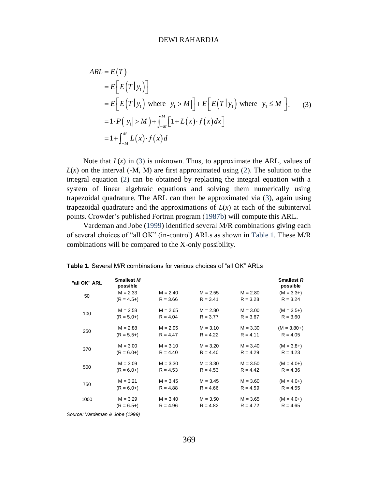<span id="page-6-0"></span>
$$
ARL = E(T)
$$
  
\n
$$
= E\left[E(T|y_1)\right]
$$
  
\n
$$
= E\left[E(T|y_1) \text{ where } |y_1 > M|\right] + E\left[E(T|y_1) \text{ where } |y_1 \leq M|\right].
$$
  
\n
$$
= 1 \cdot P(|y_1| > M) + \int_{-M}^{M} [1 + L(x) \cdot f(x) dx]
$$
  
\n
$$
= 1 + \int_{-M}^{M} L(x) \cdot f(x) dx
$$
 (3)

Note that  $L(x)$  in [\(3\)](#page-6-0) is unknown. Thus, to approximate the ARL, values of  $L(x)$  on the interval (-M, M) are first approximated using [\(2\)](#page-5-0). The solution to the integral equation [\(2\)](#page-5-0) can be obtained by replacing the integral equation with a system of linear algebraic equations and solving them numerically using trapezoidal quadrature. The ARL can then be approximated via [\(3\)](#page-6-0), again using trapezoidal quadrature and the approximations of  $L(x)$  at each of the subinterval points. Crowder's published Fortran program [\(1987b\)](#page-14-1) will compute this ARL.

Vardeman and Jobe [\(1999\)](#page-15-0) identified several M/R combinations giving each of several choices of "all OK" (in-control) ARLs as shown in [Table 1.](#page-6-1) These M/R combinations will be compared to the X-only possibility.

| "all OK" ARL | <b>Smallest M</b><br>possible |            |            |            | <b>Smallest R</b><br>possible |
|--------------|-------------------------------|------------|------------|------------|-------------------------------|
|              | $M = 2.33$                    | $M = 2.40$ | $M = 2.55$ | $M = 2.80$ | $(M = 3.3+)$                  |
| 50           | $(R = 4.5+)$                  | $R = 3.66$ | $R = 3.41$ | $R = 3.28$ | $R = 3.24$                    |
| 100          | $M = 2.58$                    | $M = 2.65$ | $M = 2.80$ | $M = 3.00$ | $(M = 3.5+)$                  |
|              | $(R = 5.0+)$                  | $R = 4.04$ | $R = 3.77$ | $R = 3.67$ | $R = 3.60$                    |
| 250          | $M = 2.88$                    | $M = 2.95$ | $M = 3.10$ | $M = 3.30$ | $(M = 3.80+)$                 |
|              | $(R = 5.5+)$                  | $R = 4.47$ | $R = 4.22$ | $R = 4.11$ | $R = 4.05$                    |
| 370          | $M = 3.00$                    | $M = 3.10$ | $M = 3.20$ | $M = 3.40$ | $(M = 3.8+)$                  |
|              | $(R = 6.0+)$                  | $R = 4.40$ | $R = 4.40$ | $R = 4.29$ | $R = 4.23$                    |
|              | $M = 3.09$                    | $M = 3.30$ | $M = 3.30$ | $M = 3.50$ | $(M = 4.0+)$                  |
| 500          | $(R = 6.0+)$                  | $R = 4.53$ | $R = 4.53$ | $R = 4.42$ | $R = 4.36$                    |
| 750          | $M = 3.21$                    | $M = 3.45$ | $M = 3.45$ | $M = 3.60$ | $(M = 4.0+)$                  |
|              | $(R = 6.0+)$                  | $R = 4.88$ | $R = 4.66$ | $R = 4.59$ | $R = 4.55$                    |
| 1000         | $M = 3.29$                    | $M = 3.40$ | $M = 3.50$ | $M = 3.65$ | $(M = 4.0+)$                  |
|              | $(R = 6.5+)$                  | $R = 4.96$ | $R = 4.82$ | $R = 4.72$ | $R = 4.65$                    |

<span id="page-6-1"></span>**Table 1.** Several M/R combinations for various choices of "all OK" ARLs

*Source: Vardeman & Jobe (1999)*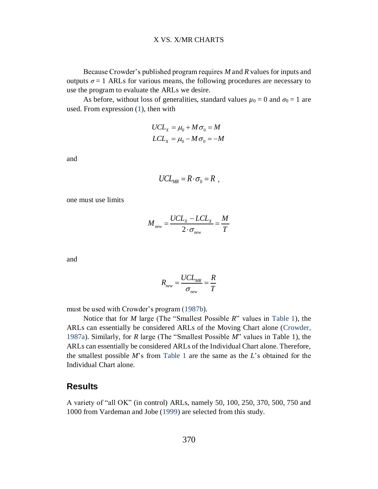Because Crowder's published program requires *M* and *R* values for inputs and outputs  $\sigma = 1$  ARLs for various means, the following procedures are necessary to use the program to evaluate the ARLs we desire.

As before, without loss of generalities, standard values  $\mu_0 = 0$  and  $\sigma_0 = 1$  are used. From expression [\(1\)](#page-4-0), then with

$$
UCLX = \mu_0 + M\sigma_0 = M
$$
  

$$
LCLX = \mu_0 - M\sigma_0 = -M
$$

and

$$
UCL_{MR} = R \cdot \sigma_0 = R ,
$$

one must use limits

$$
M_{new} = \frac{UCL_x - LCL_x}{2 \cdot \sigma_{new}} = \frac{M}{T}
$$

and

$$
R_{new} = \frac{UCL_{MR}}{\sigma_{new}} = \frac{R}{T}
$$

must be used with Crowder's program [\(1987b\)](#page-14-1).

Notice that for *M* large (The "Smallest Possible *R*" values in [Table 1\)](#page-6-1), the ARLs can essentially be considered ARLs of the Moving Chart alone [\(Crowder,](#page-14-0)  [1987a\)](#page-14-0). Similarly, for *R* large (The "Smallest Possible *M*" values in Table 1), the ARLs can essentially be considered ARLs of the Individual Chart alone. Therefore, the smallest possible *M*'s from [Table 1](#page-6-1) are the same as the *L*'s obtained for the Individual Chart alone.

#### **Results**

A variety of "all OK" (in control) ARLs, namely 50, 100, 250, 370, 500, 750 and 1000 from Vardeman and Jobe [\(1999\)](#page-15-0) are selected from this study.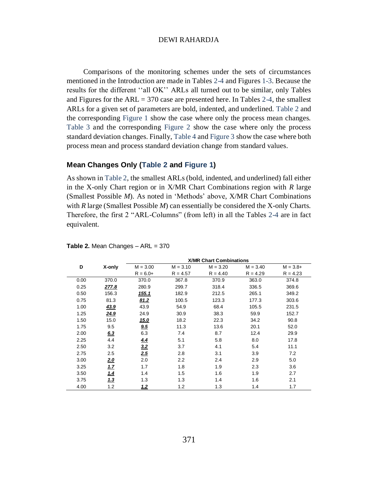Comparisons of the monitoring schemes under the sets of circumstances mentioned in the Introduction are made in Tables [2-](#page-8-0)[4](#page-11-0) and Figure[s 1-](#page-9-0)[3.](#page-12-0) Because the results for the different ''all OK'' ARLs all turned out to be similar, only Tables and Figures for the  $ARL = 370$  case are presented here. In Tables [2-](#page-8-0)[4,](#page-11-0) the smallest ARLs for a given set of parameters are bold, indented, and underlined. [Table 2](#page-8-0) and the corresponding [Figure 1](#page-9-0) show the case where only the process mean changes. [Table 3](#page-9-1) and the corresponding [Figure 2](#page-10-0) show the case where only the process standard deviation changes. Finally, [Table 4](#page-11-0) and [Figure 3](#page-12-0) show the case where both process mean and process standard deviation change from standard values.

#### **Mean Changes Only [\(Table 2](#page-8-0) and [Figure 1\)](#page-9-0)**

As shown in [Table 2,](#page-8-0) the smallest ARLs (bold, indented, and underlined) fall either in the X-only Chart region or in X/MR Chart Combinations region with *R* large (Smallest Possible *M*). As noted in 'Methods' above, X/MR Chart Combinations with *R* large (Smallest Possible *M*) can essentially be considered the X-only Charts. Therefore, the first 2 "ARL-Columns" (from left) in all the Tables [2-](#page-8-0)[4](#page-11-0) are in fact equivalent.

|      |            | <b>X/MR Chart Combinations</b> |            |            |            |             |  |  |
|------|------------|--------------------------------|------------|------------|------------|-------------|--|--|
| D    | X-only     | $M = 3.00$                     | $M = 3.10$ | $M = 3.20$ | $M = 3.40$ | $M = 3.8 +$ |  |  |
|      |            | $R = 6.0+$                     | $R = 4.57$ | $R = 4.40$ | $R = 4.29$ | $R = 4.23$  |  |  |
| 0.00 | 370.0      | 370.0                          | 367.8      | 370.9      | 363.0      | 374.8       |  |  |
| 0.25 | 277.8      | 280.9                          | 299.7      | 318.4      | 336.5      | 369.6       |  |  |
| 0.50 | 156.3      | <u>155.1</u>                   | 182.9      | 212.5      | 265.1      | 349.2       |  |  |
| 0.75 | 81.3       | 81.2                           | 100.5      | 123.3      | 177.3      | 303.6       |  |  |
| 1.00 | 43.9       | 43.9                           | 54.9       | 68.4       | 105.5      | 231.5       |  |  |
| 1.25 | 24.9       | 24.9                           | 30.9       | 38.3       | 59.9       | 152.7       |  |  |
| 1.50 | 15.0       | 15.0                           | 18.2       | 22.3       | 34.2       | 90.8        |  |  |
| 1.75 | 9.5        | 9.5                            | 11.3       | 13.6       | 20.1       | 52.0        |  |  |
| 2.00 | 6.3        | 6.3                            | 7.4        | 8.7        | 12.4       | 29.9        |  |  |
| 2.25 | 4.4        | 4.4                            | 5.1        | 5.8        | 8.0        | 17.8        |  |  |
| 2.50 | 3.2        | 3.2                            | 3.7        | 4.1        | 5.4        | 11.1        |  |  |
| 2.75 | 2.5        | 2.5                            | 2.8        | 3.1        | 3.9        | 7.2         |  |  |
| 3.00 | <u>2.0</u> | 2.0                            | 2.2        | 2.4        | 2.9        | 5.0         |  |  |
| 3.25 | 1.7        | 1.7                            | 1.8        | 1.9        | 2.3        | 3.6         |  |  |
| 3.50 | 1.4        | 1.4                            | 1.5        | 1.6        | 1.9        | 2.7         |  |  |
| 3.75 | 1.3        | 1.3                            | 1.3        | 1.4        | 1.6        | 2.1         |  |  |
| 4.00 | 1.2        | 1.2                            | 1.2        | 1.3        | 1.4        | 1.7         |  |  |

<span id="page-8-0"></span>**Table 2. Mean Changes – ARL = 370**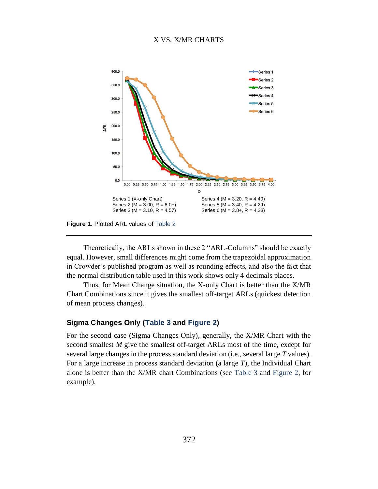#### X VS. X/MR CHARTS



<span id="page-9-0"></span>**Figure 1.** Plotted ARL values of [Table 2](#page-8-0)

Theoretically, the ARLs shown in these 2 "ARL-Columns" should be exactly equal. However, small differences might come from the trapezoidal approximation in Crowder's published program as well as rounding effects, and also the fact that the normal distribution table used in this work shows only 4 decimals places.

Thus, for Mean Change situation, the X-only Chart is better than the X/MR Chart Combinations since it gives the smallest off-target ARLs (quickest detection of mean process changes).

#### **Sigma Changes Only [\(Table 3](#page-9-1) and [Figure 2\)](#page-10-0)**

<span id="page-9-1"></span>For the second case (Sigma Changes Only), generally, the X/MR Chart with the second smallest *M* give the smallest off-target ARLs most of the time, except for several large changes in the process standard deviation (i.e., several large *T* values). For a large increase in process standard deviation (a large *T*), the Individual Chart alone is better than the X/MR chart Combinations (see [Table 3](#page-9-1) and [Figure 2,](#page-10-0) for example).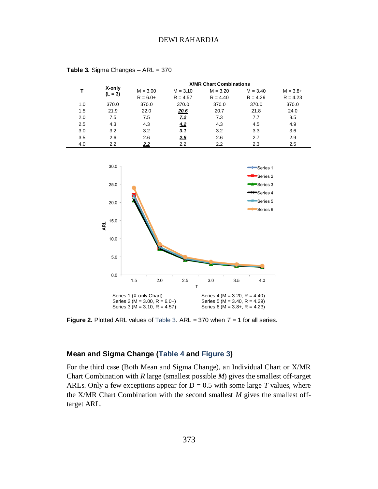|     |                     | <b>X/MR Chart Combinations</b> |             |            |            |             |  |  |  |
|-----|---------------------|--------------------------------|-------------|------------|------------|-------------|--|--|--|
|     | X-only<br>$(L = 3)$ | $M = 3.00$                     | $M = 3.10$  | $M = 3.20$ | $M = 3.40$ | $M = 3.8 +$ |  |  |  |
|     |                     | $R = 6.0+$                     | $R = 4.57$  | $R = 4.40$ | $R = 4.29$ | $R = 4.23$  |  |  |  |
| 1.0 | 370.0               | 370.0                          | 370.0       | 370.0      | 370.0      | 370.0       |  |  |  |
| 1.5 | 21.9                | 22.0                           | <u>20.6</u> | 20.7       | 21.8       | 24.0        |  |  |  |
| 2.0 | 7.5                 | 7.5                            | 7.2         | 7.3        | 7.7        | 8.5         |  |  |  |
| 2.5 | 4.3                 | 4.3                            | 4.2         | 4.3        | 4.5        | 4.9         |  |  |  |
| 3.0 | 3.2                 | 3.2                            | <u>3.1</u>  | 3.2        | 3.3        | 3.6         |  |  |  |
| 3.5 | 2.6                 | 2.6                            | <u>2.5</u>  | 2.6        | 2.7        | 2.9         |  |  |  |
| 4.0 | $2.2\phantom{0}$    | 2.2                            | 2.2         | 2.2        | 2.3        | 2.5         |  |  |  |

**Table 3.** Sigma Changes – ARL = 370



<span id="page-10-0"></span>**Figure 2.** Plotted ARL values of [Table 3.](#page-9-1) ARL = 370 when  $T = 1$  for all series.

#### **Mean and Sigma Change [\(Table 4](#page-11-0) and [Figure 3\)](#page-12-0)**

For the third case (Both Mean and Sigma Change), an Individual Chart or X/MR Chart Combination with *R* large (smallest possible *M*) gives the smallest off-target ARLs. Only a few exceptions appear for  $D = 0.5$  with some large *T* values, where the X/MR Chart Combination with the second smallest *M* gives the smallest offtarget ARL.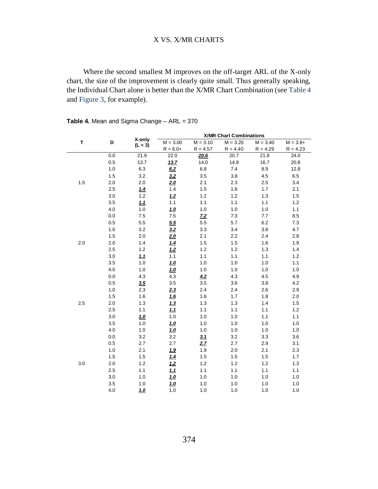#### X VS. X/MR CHARTS

Where the second smallest M improves on the off-target ARL of the X-only chart, the size of the improvement is clearly quite small. Thus generally speaking, the Individual Chart alone is better than the X/MR Chart Combination (see [Table 4](#page-11-0) and [Figure](#page-12-0) 3, for example).

| T   |         |                     | <b>X/MR Chart Combinations</b> |                |            |            |             |
|-----|---------|---------------------|--------------------------------|----------------|------------|------------|-------------|
|     | D       | X-only<br>$(L = 3)$ | $M = 3.00$                     | $M = 3.10$     | $M = 3.20$ | $M = 3.40$ | $M = 3.8 +$ |
|     |         |                     | $R = 6.0+$                     | $R = 4.57$     | $R = 4.40$ | $R = 4.29$ | $R = 4.23$  |
|     | $0.0\,$ | 21.9                | 22.0                           | 20.6           | 20.7       | 21.8       | 24.0        |
|     | 0.5     | 13.7                | 13.7                           | 14.0           | 14.9       | 16.7       | 20.8        |
|     | 1.0     | 6.3                 | 6.2                            | $6.8\,$        | 7.4        | 8.9        | 12.8        |
|     | 1.5     | 3.2                 | 3.2                            | 3.5            | 3.8        | 4.5        | 6.5         |
| 1.5 | 2.0     | 2.0                 | <u>2.0</u>                     | 2.1            | 2.3        | 2.5        | 3.4         |
|     | 2.5     | 1.4                 | 1.4                            | 1.5            | 1.6        | 1.7        | 2.1         |
|     | 3.0     | $1.2$               | 1.2                            | $1.2$          | 1.2        | 1.3        | 1.5         |
|     | 3.5     | 1.1                 | 1.1                            | $1.1$          | 1.1        | 1.1        | $1.2$       |
|     | 4.0     | $1.0$               | 1.0                            | $1.0$          | $1.0\,$    | 1.0        | 1.1         |
|     | $0.0\,$ | 7.5                 | 7.5                            | Z <sub>2</sub> | 7.3        | 7.7        | 8.5         |
|     | 0.5     | $5.5\,$             | 5.5                            | $5.5\,$        | 5.7        | 6.2        | 7.3         |
|     | 1.0     | 3.2                 | 3.2                            | 3.3            | 3.4        | 3.8        | 4.7         |
|     | 1.5     | 2.0                 | <u>2.0</u>                     | 2.1            | 2.2        | 2.4        | 2.8         |
| 2.0 | 2.0     | 1.4                 | 1.4                            | 1.5            | 1.5        | 1.6        | 1.9         |
|     | 2.5     | 1.2                 | 1.2                            | 1.2            | 1.2        | 1.3        | 1.4         |
|     | 3.0     | 1.1                 | 1.1                            | 1.1            | 1.1        | 1.1        | 1.2         |
|     | 3.5     | 1.0                 | <u>1.0</u>                     | 1.0            | 1.0        | 1.0        | 1.1         |
|     | 4.0     | 1.0                 | 1.0                            | 1.0            | 1.0        | 1.0        | 1.0         |
|     | 0.0     | 4.3                 | 4.3                            | 4.2            | 4.3        | 4.5        | 4.9         |
|     | 0.5     | 3.5                 | 3.5                            | 3.5            | 3.6        | $3.8\,$    | 4.2         |
|     | $1.0$   | 2.3                 | 2.3                            | 2.4            | 2.4        | 2.6        | 2.9         |
|     | 1.5     | 1.6                 | 16                             | 1.6            | 1.7        | 1.8        | 2.0         |
| 2.5 | 2.0     | $1.3$               | 1.3                            | $1.3$          | 1.3        | 1.4        | 1.5         |
|     | 2.5     | 1.1                 | <u>1.1</u>                     | $1.1$          | 1.1        | 1.1        | $1.2$       |
|     | 3.0     | 1.0                 | 1.0                            | 1.0            | 1.0        | 1.1        | 1.1         |
|     | 3.5     | $1.0$               | 1.0                            | 1.0            | $1.0\,$    | 1.0        | 1.0         |
|     | 4.0     | $1.0$               | 1.0                            | 1.0            | $1.0\,$    | 1.0        | 1.0         |
|     | 0.0     | 3.2                 | 3.2                            | 3.1            | 3.2        | 3.3        | 3.6         |
| 3.0 | 0.5     | 2.7                 | 2.7                            | 2.7            | 2.7        | 2.9        | 3.1         |
|     | $1.0$   | 2.1                 | 1.9                            | 1.9            | 2.0        | 2.1        | 2.3         |
|     | 1.5     | 1.5                 | 1.4                            | 1.5            | 1.5        | 1.5        | 1.7         |
|     | 2.0     | $1.2$               | 1.2                            | 1.2            | 1.2        | 1.2        | 1.3         |
|     | 2.5     | 1.1                 | 1.1                            | $1.1$          | 1.1        | $1.1$      | 1.1         |
|     | 3.0     | 1.0                 | 1.0                            | 1.0            | 1.0        | 1.0        | 1.0         |
|     | 3.5     | $1.0$               | <u>1.0</u>                     | 1.0            | $1.0\,$    | 1.0        | 1.0         |
|     | 4.0     | 1.0                 | 1.0                            | 1.0            | 1.0        | 1.0        | 1.0         |

<span id="page-11-0"></span>Table 4. Mean and Sigma Change – ARL = 370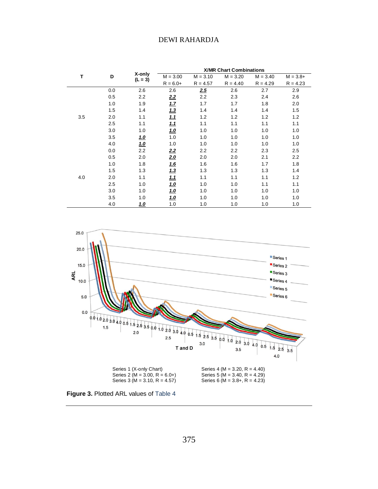| Т   |     | X-only<br>$(L = 3)$ | <b>X/MR Chart Combinations</b> |            |            |            |             |
|-----|-----|---------------------|--------------------------------|------------|------------|------------|-------------|
|     | D   |                     | $M = 3.00$                     | $M = 3.10$ | $M = 3.20$ | $M = 3.40$ | $M = 3.8 +$ |
|     |     |                     | $R = 6.0+$                     | $R = 4.57$ | $R = 4.40$ | $R = 4.29$ | $R = 4.23$  |
|     | 0.0 | 2.6                 | 2.6                            | 2.5        | 2.6        | 2.7        | 2.9         |
|     | 0.5 | 2.2                 | 2.2                            | 2.2        | 2.3        | 2.4        | 2.6         |
|     | 1.0 | 1.9                 | <u>1.7</u>                     | 1.7        | 1.7        | 1.8        | 2.0         |
|     | 1.5 | 1.4                 | 1.3                            | 1.4        | 1.4        | 1.4        | 1.5         |
| 3.5 | 2.0 | 1.1                 | <u>1.1</u>                     | 1.2        | 1.2        | 1.2        | 1.2         |
|     | 2.5 | 1.1                 | <u>1.1</u>                     | 1.1        | 1.1        | 1.1        | 1.1         |
|     | 3.0 | 1.0                 | <u>1.0</u>                     | 1.0        | 1.0        | 1.0        | 1.0         |
|     | 3.5 | <u>1.0</u>          | 1.0                            | 1.0        | 1.0        | 1.0        | 1.0         |
|     | 4.0 | 1.0                 | 1.0                            | 1.0        | 1.0        | 1.0        | 1.0         |
| 4.0 | 0.0 | 2.2                 | 2.2                            | 2.2        | 2.2        | 2.3        | 2.5         |
|     | 0.5 | 2.0                 | <u>2.0</u>                     | 2.0        | 2.0        | 2.1        | 2.2         |
|     | 1.0 | 1.8                 | <u>1.6</u>                     | 1.6        | 1.6        | 1.7        | 1.8         |
|     | 1.5 | 1.3                 | 1.3                            | 1.3        | 1.3        | 1.3        | 1.4         |
|     | 2.0 | 1.1                 | <u>1.1</u>                     | 1.1        | 1.1        | 1.1        | 1.2         |
|     | 2.5 | 1.0                 | 1.0                            | 1.0        | 1.0        | 1.1        | 1.1         |
|     | 3.0 | 1.0                 | <u>1.0</u>                     | 1.0        | 1.0        | 1.0        | 1.0         |
|     | 3.5 | 1.0                 | <u>1.0</u>                     | 1.0        | 1.0        | 1.0        | 1.0         |
|     | 4.0 | <u>1.0</u>          | 1.0                            | 1.0        | 1.0        | 1.0        | 1.0         |



<span id="page-12-0"></span>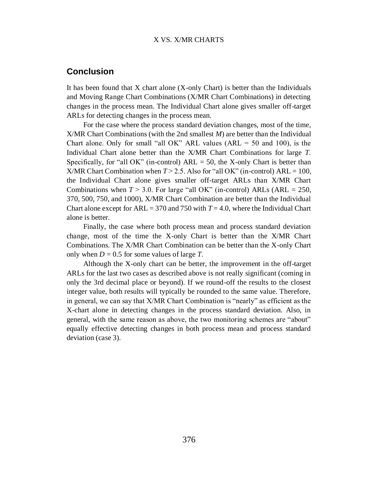#### X VS. X/MR CHARTS

## **Conclusion**

It has been found that X chart alone (X-only Chart) is better than the Individuals and Moving Range Chart Combinations (X/MR Chart Combinations) in detecting changes in the process mean. The Individual Chart alone gives smaller off-target ARLs for detecting changes in the process mean.

For the case where the process standard deviation changes, most of the time, X/MR Chart Combinations (with the 2nd smallest *M*) are better than the Individual Chart alone. Only for small "all OK" ARL values  $(ARL = 50$  and 100), is the Individual Chart alone better than the X/MR Chart Combinations for large *T*. Specifically, for "all OK" (in-control)  $ARL = 50$ , the X-only Chart is better than X/MR Chart Combination when  $T > 2.5$ . Also for "all OK" (in-control) ARL = 100, the Individual Chart alone gives smaller off-target ARLs than X/MR Chart Combinations when  $T > 3.0$ . For large "all OK" (in-control) ARLs (ARL = 250, 370, 500, 750, and 1000), X/MR Chart Combination are better than the Individual Chart alone except for  $ARL = 370$  and 750 with  $T = 4.0$ , where the Individual Chart alone is better.

Finally, the case where both process mean and process standard deviation change, most of the time the X-only Chart is better than the X/MR Chart Combinations. The X/MR Chart Combination can be better than the X-only Chart only when  $D = 0.5$  for some values of large *T*.

Although the X-only chart can be better, the improvement in the off-target ARLs for the last two cases as described above is not really significant (coming in only the 3rd decimal place or beyond). If we round-off the results to the closest integer value, both results will typically be rounded to the same value. Therefore, in general, we can say that X/MR Chart Combination is "nearly" as efficient as the X-chart alone in detecting changes in the process standard deviation. Also, in general, with the same reason as above, the two monitoring schemes are "about" equally effective detecting changes in both process mean and process standard deviation (case 3).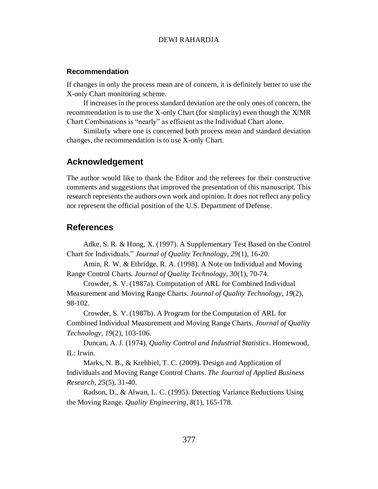#### **Recommendation**

If changes in only the process mean are of concern, it is definitely better to use the X-only Chart monitoring scheme.

If increases in the process standard deviation are the only ones of concern, the recommendation is to use the X-only Chart (for simplicity) even though the X/MR Chart Combinations is "nearly" as efficient as the Individual Chart alone.

Similarly where one is concerned both process mean and standard deviation changes, the recommendation is to use X-only Chart.

## **Acknowledgement**

The author would like to thank the Editor and the referees for their constructive comments and suggestions that improved the presentation of this manuscript. This research represents the authors own work and opinion. It does not reflect any policy nor represent the official position of the U.S. Department of Defense.

## **References**

<span id="page-14-0"></span>Adke, S. R. & Hong, X. (1997). A Supplementary Test Based on the Control Chart for Individuals." *Journal of Quality Technology, 29*(1), 16-20.

<span id="page-14-3"></span>Amin, R. W. & Ethridge, R. A. (1998). A Note on Individual and Moving Range Control Charts. *Journal of Quality Technology, 30*(1), 70-74.

Crowder, S. V. (1987a). Computation of ARL for Combined Individual Measurement and Moving Range Charts. *Journal of Quality Technology*, *19*(2), 98-102.

<span id="page-14-1"></span>Crowder, S. V. (1987b). A Program for the Computation of ARL for Combined Individual Measurement and Moving Range Charts. *Journal of Quality Technology*, *19*(2), 103-106.

Duncan, A. J. (1974). *Quality Control and Industrial Statistics*. Homewood, IL: Irwin.

<span id="page-14-4"></span>Marks, N. B., & Krehbiel, T. C. (2009). Design and Application of Individuals and Moving Range Control Charts. *The Journal of Applied Business Research*, *25*(5), 31-40.

<span id="page-14-2"></span>Radson, D., & Alwan, L. C. (1995). Detecting Variance Reductions Using the Moving Range. *Quality Engineering*, *8*(1), 165-178.